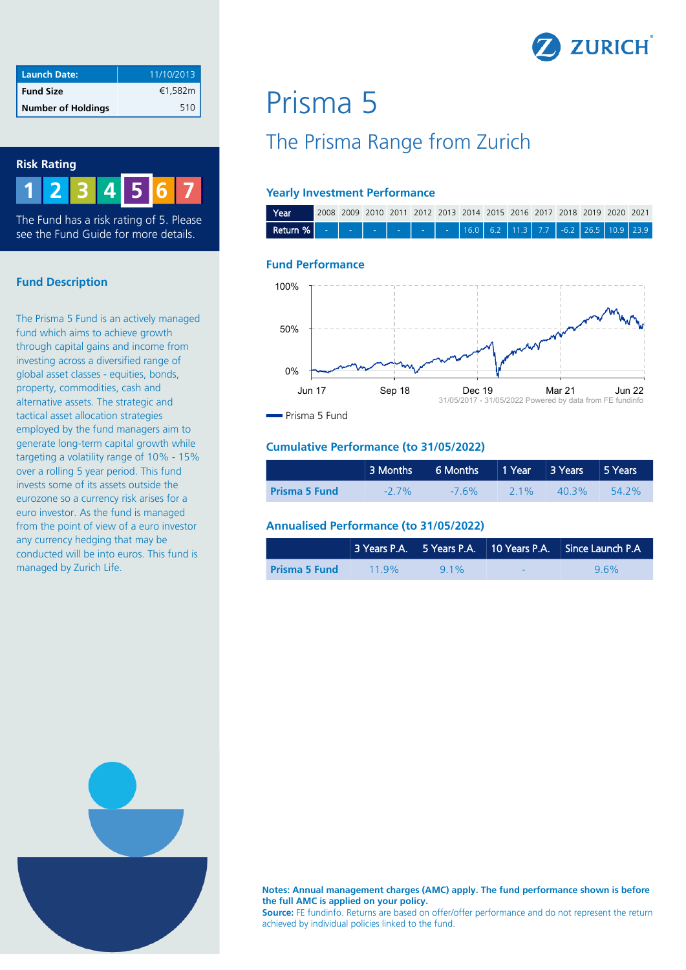

| <b>Launch Date:</b>       | 11/10/2013 |
|---------------------------|------------|
| <b>Fund Size</b>          | €1,582m    |
| <b>Number of Holdings</b> | 510        |

#### **Risk Rating**

**1 2 3 4 6 7 5**

The Fund has a risk rating of 5. Please see the Fund Guide for more details.

#### **Fund Description**

The Prisma 5 Fund is an actively managed fund which aims to achieve growth through capital gains and income from investing across a diversified range of global asset classes - equities, bonds, property, commodities, cash and alternative assets. The strategic and tactical asset allocation strategies employed by the fund managers aim to generate long-term capital growth while targeting a volatility range of 10% - 15% over a rolling 5 year period. This fund invests some of its assets outside the eurozone so a currency risk arises for a euro investor. As the fund is managed from the point of view of a euro investor any currency hedging that may be conducted will be into euros. This fund is managed by Zurich Life.

# Prisma 5

# The Prisma Range from Zurich

#### **Yearly Investment Performance**



#### **Fund Performance**



Prisma 5 Fund

#### **Cumulative Performance (to 31/05/2022)**

|                      | 3 Months 6 Months 1 Year 3 Years 5 Years |          |        |       |           |
|----------------------|------------------------------------------|----------|--------|-------|-----------|
| <b>Prisma 5 Fund</b> | $-27\%$                                  | $-7.6\%$ | $21\%$ | 40.3% | $-54.2\%$ |

#### **Annualised Performance (to 31/05/2022)**

|                      |      |        |                          | 3 Years P.A. 5 Years P.A. 10 Years P.A. Since Launch P.A |
|----------------------|------|--------|--------------------------|----------------------------------------------------------|
| <b>Prisma 5 Fund</b> | 119% | $91\%$ | $\overline{\phantom{0}}$ | 96%                                                      |



**Notes: Annual management charges (AMC) apply. The fund performance shown is before the full AMC is applied on your policy.** 

**Source:** FE fundinfo. Returns are based on offer/offer performance and do not represent the return achieved by individual policies linked to the fund.